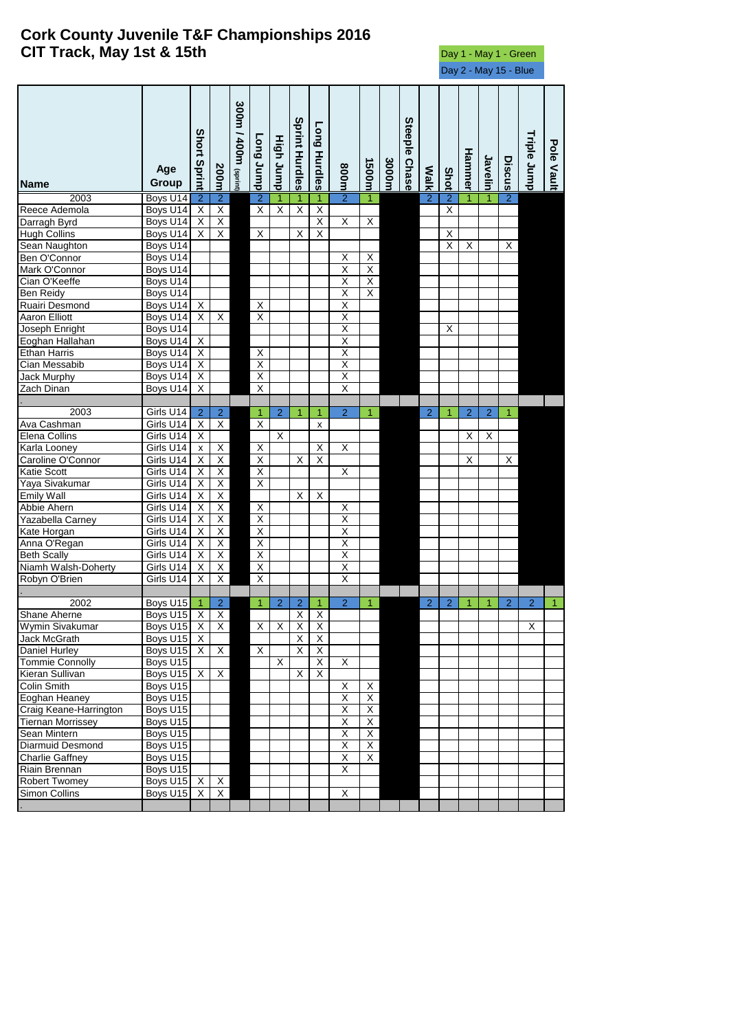## **Cork County Juvenile T&F Championships 2016 CIT Track, May 1st & 15th** Day 1 - May 1 - Green

Day 2 - May 15 - Blue

| <b>Name</b>              | Age<br>Group         | <b>Short Sprint</b>       | 200m                    | 300m / 400m (sprint) | <b>Cong Jump</b>        | High Jump               | Sprint Hurdles          | Long Hurdles            | <b>800m</b>             | 1500m                   | 3000m | Steeple Chase | <b>Walk</b>    | Shot                    | Hammer         | Javelin                 | Discus         | Triple Jump    | Pole Vault |
|--------------------------|----------------------|---------------------------|-------------------------|----------------------|-------------------------|-------------------------|-------------------------|-------------------------|-------------------------|-------------------------|-------|---------------|----------------|-------------------------|----------------|-------------------------|----------------|----------------|------------|
| 2003                     | Boys U14             | $\overline{2}$            | $\overline{2}$          |                      | $\overline{2}$          | 1                       | 1                       | 1                       | $\overline{2}$          | 1                       |       |               | $\overline{2}$ | $\overline{2}$          |                | 1                       | $\overline{2}$ |                |            |
| Reece Ademola            | Boys U14             | X                         | $\overline{X}$          |                      | $\overline{\mathsf{x}}$ | $\overline{\mathsf{x}}$ | $\overline{\mathsf{X}}$ | $\overline{\mathsf{X}}$ |                         |                         |       |               |                | $\overline{\mathsf{x}}$ |                |                         |                |                |            |
| Darragh Byrd             | Boys U14             | $\overline{X}$            | $\overline{X}$          |                      |                         |                         |                         | $\overline{\mathsf{X}}$ | $\overline{\mathsf{X}}$ | χ                       |       |               |                |                         |                |                         |                |                |            |
| <b>Hugh Collins</b>      | Boys U14             | X                         | Χ                       |                      | X                       |                         | Χ                       | $\overline{\mathsf{x}}$ |                         |                         |       |               |                | X                       |                |                         |                |                |            |
| Sean Naughton            | Boys U14             |                           |                         |                      |                         |                         |                         |                         |                         |                         |       |               |                | $\overline{\mathsf{x}}$ | X              |                         | X              |                |            |
| Ben O'Connor             | Boys U14             |                           |                         |                      |                         |                         |                         |                         | Χ                       | X                       |       |               |                |                         |                |                         |                |                |            |
| Mark O'Connor            | Boys U14             |                           |                         |                      |                         |                         |                         |                         | $\overline{\mathsf{x}}$ | $\overline{\mathsf{X}}$ |       |               |                |                         |                |                         |                |                |            |
| Cian O'Keeffe            | Boys U14             |                           |                         |                      |                         |                         |                         |                         | $\overline{\mathsf{X}}$ | $\overline{\mathsf{X}}$ |       |               |                |                         |                |                         |                |                |            |
| Ben Reidy                | Boys U14             |                           |                         |                      |                         |                         |                         |                         | Χ                       | $\overline{X}$          |       |               |                |                         |                |                         |                |                |            |
| Ruairi Desmond           | Boys U14             | X                         |                         |                      | Χ                       |                         |                         |                         | Χ                       |                         |       |               |                |                         |                |                         |                |                |            |
| <b>Aaron Elliott</b>     | Boys U14             | X                         | X                       |                      | χ                       |                         |                         |                         | $\overline{\mathsf{x}}$ |                         |       |               |                |                         |                |                         |                |                |            |
| Joseph Enright           | Boys U14             |                           |                         |                      |                         |                         |                         |                         | Χ                       |                         |       |               |                | х                       |                |                         |                |                |            |
| Eoghan Hallahan          | Boys U14             | X                         |                         |                      |                         |                         |                         |                         | Χ                       |                         |       |               |                |                         |                |                         |                |                |            |
| <b>Ethan Harris</b>      | Boys U14             | X                         |                         |                      | X                       |                         |                         |                         | X                       |                         |       |               |                |                         |                |                         |                |                |            |
| Cian Messabib            | Boys U14             | $\overline{X}$            |                         |                      | Χ                       |                         |                         |                         | $\overline{\mathsf{x}}$ |                         |       |               |                |                         |                |                         |                |                |            |
| <b>Jack Murphy</b>       | Boys U14             | $\overline{X}$            |                         |                      | $\overline{\mathsf{x}}$ |                         |                         |                         | $\overline{\mathsf{x}}$ |                         |       |               |                |                         |                |                         |                |                |            |
| Zach Dinan               | Boys U14             | X                         |                         |                      | $\overline{\mathsf{x}}$ |                         |                         |                         | X                       |                         |       |               |                |                         |                |                         |                |                |            |
|                          |                      |                           |                         |                      |                         |                         |                         |                         |                         |                         |       |               |                |                         |                |                         |                |                |            |
| 2003                     | Girls U14            | $\overline{c}$            | $\overline{2}$          |                      | 1                       | $\overline{2}$          | 1                       | 1                       | $\overline{2}$          | 1                       |       |               | $\overline{2}$ | 1                       | $\overline{2}$ | $\overline{2}$          | 1              |                |            |
| Ava Cashman              | Girls U14            | $\overline{X}$            | $\overline{X}$          |                      | $\overline{\mathsf{x}}$ |                         |                         | x                       |                         |                         |       |               |                |                         |                |                         |                |                |            |
| Elena Collins            | Girls U14            | $\overline{\mathsf{x}}$   |                         |                      |                         | $\overline{\mathsf{x}}$ |                         |                         |                         |                         |       |               |                |                         | X              | $\overline{\mathsf{x}}$ |                |                |            |
| Karla Looney             | Girls U14            | x                         | $\mathsf{X}$            |                      | X                       |                         |                         | X                       | Χ                       |                         |       |               |                |                         |                |                         |                |                |            |
| Caroline O'Connor        | Girls U14            | X                         | $\overline{X}$          |                      | $\overline{\mathsf{X}}$ |                         | Χ                       | $\overline{X}$          |                         |                         |       |               |                |                         | Χ              |                         | X              |                |            |
| Katie Scott              | Girls U14            | X                         | $\overline{X}$          |                      | Χ                       |                         |                         |                         | $\overline{\mathsf{X}}$ |                         |       |               |                |                         |                |                         |                |                |            |
| Yaya Sivakumar           | Girls U14            | $\overline{X}$            | $\overline{\mathsf{X}}$ |                      | $\overline{\mathsf{x}}$ |                         |                         |                         |                         |                         |       |               |                |                         |                |                         |                |                |            |
| <b>Emily Wall</b>        | Girls U14            | $\overline{X}$            | $\overline{\mathsf{X}}$ |                      |                         |                         | $\overline{\mathsf{x}}$ | X                       |                         |                         |       |               |                |                         |                |                         |                |                |            |
| Abbie Ahern              | Girls U14            | X                         | Χ                       |                      | $\overline{X}$          |                         |                         |                         | X                       |                         |       |               |                |                         |                |                         |                |                |            |
| Yazabella Carney         | Girls U14            | X                         | $\overline{\mathsf{X}}$ |                      | $\overline{\mathsf{X}}$ |                         |                         |                         | $\overline{\mathsf{X}}$ |                         |       |               |                |                         |                |                         |                |                |            |
| Kate Horgan              | Girls U14            | Χ                         | Χ                       |                      | $\overline{\mathsf{x}}$ |                         |                         |                         | Χ                       |                         |       |               |                |                         |                |                         |                |                |            |
| Anna O'Regan             | Girls U14            | X                         | Χ                       |                      | Χ                       |                         |                         |                         | Χ                       |                         |       |               |                |                         |                |                         |                |                |            |
| <b>Beth Scally</b>       | Girls U14            | $\overline{\mathsf{x}}$   | Χ                       |                      | $\overline{\mathsf{x}}$ |                         |                         |                         | $\overline{\mathsf{x}}$ |                         |       |               |                |                         |                |                         |                |                |            |
| Niamh Walsh-Doherty      | Girls U14            | Χ                         | $\overline{X}$          |                      | Χ                       |                         |                         |                         | Χ                       |                         |       |               |                |                         |                |                         |                |                |            |
| Robyn O'Brien            | Girls U14            | $\overline{\mathsf{x}}$   | $\overline{\mathsf{x}}$ |                      | $\overline{\mathsf{x}}$ |                         |                         |                         | $\overline{\mathsf{x}}$ |                         |       |               |                |                         |                |                         |                |                |            |
|                          |                      |                           |                         |                      |                         |                         |                         |                         |                         |                         |       |               |                |                         |                |                         |                |                |            |
| 2002                     | Boys U15             | -1                        | $\overline{2}$          |                      | 1                       | 2                       | $\overline{2}$          | 1                       | $\overline{2}$          | 1                       |       |               | $\overline{2}$ | $\overline{2}$          | 1              | -1                      | $\overline{2}$ | $\overline{2}$ | 1          |
| Shane Aherne             | Boys U15             | $\boldsymbol{\mathsf{X}}$ | $\overline{X}$          |                      |                         |                         | X                       | $\overline{X}$          |                         |                         |       |               |                |                         |                |                         |                |                |            |
| Wymin Sivakumar          | Bovs U <sub>15</sub> | $\overline{\mathsf{x}}$   | $\overline{X}$          |                      | X                       | $\times$                | $\overline{\mathsf{x}}$ | $\overline{\mathsf{x}}$ |                         |                         |       |               |                |                         |                |                         |                | X              |            |
| Jack McGrath             | Boys U15             | X                         |                         |                      |                         |                         | X                       | $\mathsf X$             |                         |                         |       |               |                |                         |                |                         |                |                |            |
| Daniel Hurley            | Boys U15             | X                         | X                       |                      | X                       |                         | Χ                       | $\overline{X}$          |                         |                         |       |               |                |                         |                |                         |                |                |            |
| <b>Tommie Connolly</b>   | Boys U15             |                           |                         |                      |                         | X                       |                         | $\overline{X}$          | X                       |                         |       |               |                |                         |                |                         |                |                |            |
| Kieran Sullivan          | Boys U15             | X                         | $\overline{X}$          |                      |                         |                         | X                       | $\overline{\mathsf{x}}$ |                         |                         |       |               |                |                         |                |                         |                |                |            |
| Colin Smith              | Boys U15             |                           |                         |                      |                         |                         |                         |                         | $\overline{X}$          | X                       |       |               |                |                         |                |                         |                |                |            |
| Eoghan Heaney            | Boys U15             |                           |                         |                      |                         |                         |                         |                         | $\overline{\mathsf{X}}$ | X                       |       |               |                |                         |                |                         |                |                |            |
| Craig Keane-Harrington   | Boys U15             |                           |                         |                      |                         |                         |                         |                         | Χ                       | χ                       |       |               |                |                         |                |                         |                |                |            |
| <b>Tiernan Morrissey</b> | Boys U15             |                           |                         |                      |                         |                         |                         |                         | $\overline{\mathsf{X}}$ | Χ                       |       |               |                |                         |                |                         |                |                |            |
| Sean Mintern             | Boys U15             |                           |                         |                      |                         |                         |                         |                         | $\overline{\mathsf{X}}$ | $\overline{X}$          |       |               |                |                         |                |                         |                |                |            |
| Diarmuid Desmond         | Boys U15             |                           |                         |                      |                         |                         |                         |                         | $\overline{\mathsf{X}}$ | $\overline{X}$          |       |               |                |                         |                |                         |                |                |            |
| <b>Charlie Gaffney</b>   | Boys U15             |                           |                         |                      |                         |                         |                         |                         | $\overline{\mathsf{X}}$ | $\overline{X}$          |       |               |                |                         |                |                         |                |                |            |
| Riain Brennan            | Boys U15             |                           |                         |                      |                         |                         |                         |                         | $\overline{\mathsf{x}}$ |                         |       |               |                |                         |                |                         |                |                |            |
| Robert Twomey            | Boys U15             | X                         | $\overline{X}$          |                      |                         |                         |                         |                         |                         |                         |       |               |                |                         |                |                         |                |                |            |
| Simon Collins            | Boys U15             | X                         | X                       |                      |                         |                         |                         |                         | X                       |                         |       |               |                |                         |                |                         |                |                |            |
|                          |                      |                           |                         |                      |                         |                         |                         |                         |                         |                         |       |               |                |                         |                |                         |                |                |            |